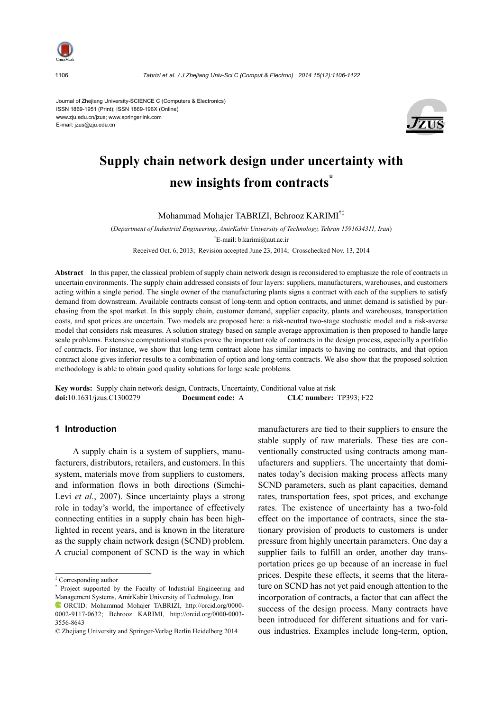

Journal of Zhejiang University-SCIENCE C (Computers & Electronics) ISSN 1869-1951 (Print); ISSN 1869-196X (Online) www.zju.edu.cn/jzus; www.springerlink.com E-mail: jzus@zju.edu.cn



# **Supply chain network design under uncertainty with new insights from contracts\***

# Mohammad Mohajer TABRIZI, Behrooz KARIMI†‡

(*Department of Industrial Engineering, AmirKabir University of Technology, Tehran 1591634311, Iran*) † E-mail: b.karimi@aut.ac.ir Received Oct. 6, 2013; Revision accepted June 23, 2014; Crosschecked Nov. 13, 2014

**Abstract** In this paper, the classical problem of supply chain network design is reconsidered to emphasize the role of contracts in uncertain environments. The supply chain addressed consists of four layers: suppliers, manufacturers, warehouses, and customers acting within a single period. The single owner of the manufacturing plants signs a contract with each of the suppliers to satisfy demand from downstream. Available contracts consist of long-term and option contracts, and unmet demand is satisfied by purchasing from the spot market. In this supply chain, customer demand, supplier capacity, plants and warehouses, transportation costs, and spot prices are uncertain. Two models are proposed here: a risk-neutral two-stage stochastic model and a risk-averse model that considers risk measures. A solution strategy based on sample average approximation is then proposed to handle large scale problems. Extensive computational studies prove the important role of contracts in the design process, especially a portfolio of contracts. For instance, we show that long-term contract alone has similar impacts to having no contracts, and that option contract alone gives inferior results to a combination of option and long-term contracts. We also show that the proposed solution methodology is able to obtain good quality solutions for large scale problems.

**Key words:** Supply chain network design, Contracts, Uncertainty, Conditional value at risk **doi:**10.1631/jzus.C1300279 **Document code:** A **CLC number:** TP393; F22

# **1 Introduction**

A supply chain is a system of suppliers, manufacturers, distributors, retailers, and customers. In this system, materials move from suppliers to customers, and information flows in both directions (Simchi-Levi *et al.*, 2007). Since uncertainty plays a strong role in today's world, the importance of effectively connecting entities in a supply chain has been highlighted in recent years, and is known in the literature as the supply chain network design (SCND) problem. A crucial component of SCND is the way in which

manufacturers are tied to their suppliers to ensure the stable supply of raw materials. These ties are conventionally constructed using contracts among manufacturers and suppliers. The uncertainty that dominates today's decision making process affects many SCND parameters, such as plant capacities, demand rates, transportation fees, spot prices, and exchange rates. The existence of uncertainty has a two-fold effect on the importance of contracts, since the stationary provision of products to customers is under pressure from highly uncertain parameters. One day a supplier fails to fulfill an order, another day transportation prices go up because of an increase in fuel prices. Despite these effects, it seems that the literature on SCND has not yet paid enough attention to the incorporation of contracts, a factor that can affect the success of the design process. Many contracts have been introduced for different situations and for various industries. Examples include long-term, option,

<sup>‡</sup> Corresponding author

<sup>\*</sup> Project supported by the Faculty of Industrial Engineering and Management Systems, AmirKabir University of Technology, Iran

ORCID: Mohammad Mohajer TABRIZI, http://orcid.org/0000- 0002-9117-0632; Behrooz KARIMI, http://orcid.org/0000-0003- 3556-8643

<sup>©</sup> Zhejiang University and Springer-Verlag Berlin Heidelberg 2014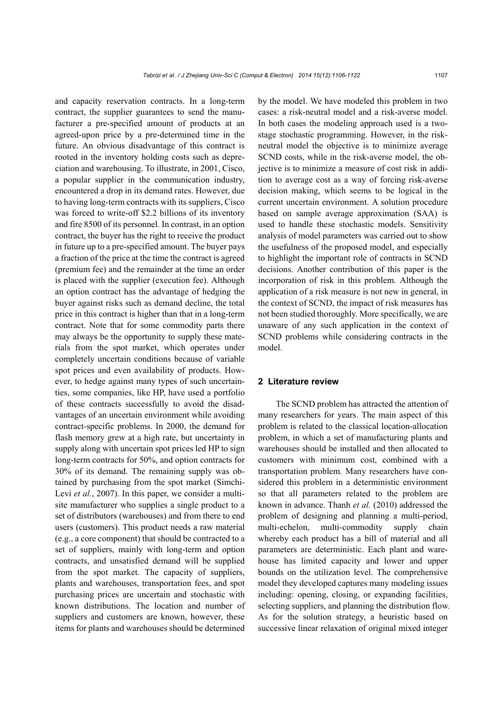and capacity reservation contracts. In a long-term contract, the supplier guarantees to send the manufacturer a pre-specified amount of products at an agreed-upon price by a pre-determined time in the future. An obvious disadvantage of this contract is rooted in the inventory holding costs such as depreciation and warehousing. To illustrate, in 2001, Cisco, a popular supplier in the communication industry, encountered a drop in its demand rates. However, due to having long-term contracts with its suppliers, Cisco was forced to write-off \$2.2 billions of its inventory and fire 8500 of its personnel. In contrast, in an option contract, the buyer has the right to receive the product in future up to a pre-specified amount. The buyer pays a fraction of the price at the time the contract is agreed (premium fee) and the remainder at the time an order is placed with the supplier (execution fee). Although an option contract has the advantage of hedging the buyer against risks such as demand decline, the total price in this contract is higher than that in a long-term contract. Note that for some commodity parts there may always be the opportunity to supply these materials from the spot market, which operates under completely uncertain conditions because of variable spot prices and even availability of products. However, to hedge against many types of such uncertainties, some companies, like HP, have used a portfolio of these contracts successfully to avoid the disadvantages of an uncertain environment while avoiding contract-specific problems. In 2000, the demand for flash memory grew at a high rate, but uncertainty in supply along with uncertain spot prices led HP to sign long-term contracts for 50%, and option contracts for 30% of its demand. The remaining supply was obtained by purchasing from the spot market (Simchi-Levi et al., 2007). In this paper, we consider a multisite manufacturer who supplies a single product to a set of distributors (warehouses) and from there to end users (customers). This product needs a raw material (e.g., a core component) that should be contracted to a set of suppliers, mainly with long-term and option contracts, and unsatisfied demand will be supplied from the spot market. The capacity of suppliers, plants and warehouses, transportation fees, and spot purchasing prices are uncertain and stochastic with known distributions. The location and number of suppliers and customers are known, however, these items for plants and warehouses should be determined by the model. We have modeled this problem in two cases: a risk-neutral model and a risk-averse model. In both cases the modeling approach used is a twostage stochastic programming. However, in the riskneutral model the objective is to minimize average SCND costs, while in the risk-averse model, the objective is to minimize a measure of cost risk in addition to average cost as a way of forcing risk-averse decision making, which seems to be logical in the current uncertain environment. A solution procedure based on sample average approximation (SAA) is used to handle these stochastic models. Sensitivity analysis of model parameters was carried out to show the usefulness of the proposed model, and especially to highlight the important role of contracts in SCND decisions. Another contribution of this paper is the incorporation of risk in this problem. Although the application of a risk measure is not new in general, in the context of SCND, the impact of risk measures has not been studied thoroughly. More specifically, we are unaware of any such application in the context of SCND problems while considering contracts in the model.

#### **2 Literature review**

The SCND problem has attracted the attention of many researchers for years. The main aspect of this problem is related to the classical location-allocation problem, in which a set of manufacturing plants and warehouses should be installed and then allocated to customers with minimum cost, combined with a transportation problem. Many researchers have considered this problem in a deterministic environment so that all parameters related to the problem are known in advance. Thanh *et al.* (2010) addressed the problem of designing and planning a multi-period, multi-echelon, multi-commodity supply chain whereby each product has a bill of material and all parameters are deterministic. Each plant and warehouse has limited capacity and lower and upper bounds on the utilization level. The comprehensive model they developed captures many modeling issues including: opening, closing, or expanding facilities, selecting suppliers, and planning the distribution flow. As for the solution strategy, a heuristic based on successive linear relaxation of original mixed integer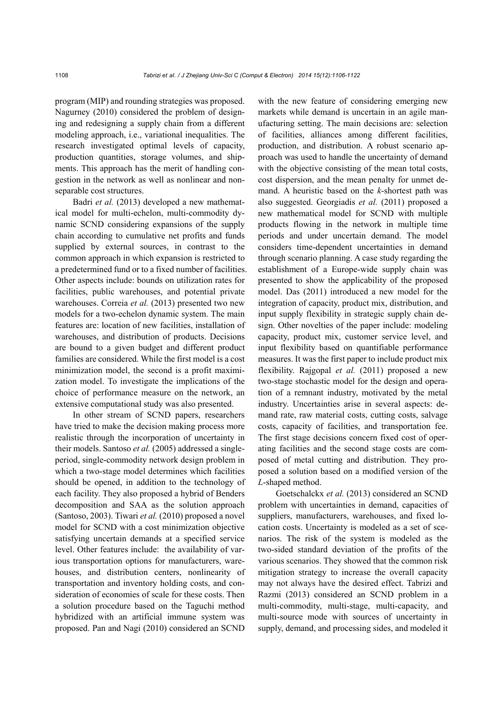program (MIP) and rounding strategies was proposed. Nagurney (2010) considered the problem of designing and redesigning a supply chain from a different modeling approach, i.e., variational inequalities. The research investigated optimal levels of capacity, production quantities, storage volumes, and shipments. This approach has the merit of handling congestion in the network as well as nonlinear and nonseparable cost structures.

Badri *et al.* (2013) developed a new mathematical model for multi-echelon, multi-commodity dynamic SCND considering expansions of the supply chain according to cumulative net profits and funds supplied by external sources, in contrast to the common approach in which expansion is restricted to a predetermined fund or to a fixed number of facilities. Other aspects include: bounds on utilization rates for facilities, public warehouses, and potential private warehouses. Correia *et al.* (2013) presented two new models for a two-echelon dynamic system. The main features are: location of new facilities, installation of warehouses, and distribution of products. Decisions are bound to a given budget and different product families are considered. While the first model is a cost minimization model, the second is a profit maximization model. To investigate the implications of the choice of performance measure on the network, an extensive computational study was also presented.

In other stream of SCND papers, researchers have tried to make the decision making process more realistic through the incorporation of uncertainty in their models. Santoso *et al.* (2005) addressed a singleperiod, single-commodity network design problem in which a two-stage model determines which facilities should be opened, in addition to the technology of each facility. They also proposed a hybrid of Benders decomposition and SAA as the solution approach (Santoso, 2003). Tiwari *et al.* (2010) proposed a novel model for SCND with a cost minimization objective satisfying uncertain demands at a specified service level. Other features include: the availability of various transportation options for manufacturers, warehouses, and distribution centers, nonlinearity of transportation and inventory holding costs, and consideration of economies of scale for these costs. Then a solution procedure based on the Taguchi method hybridized with an artificial immune system was proposed. Pan and Nagi (2010) considered an SCND with the new feature of considering emerging new markets while demand is uncertain in an agile manufacturing setting. The main decisions are: selection of facilities, alliances among different facilities, production, and distribution. A robust scenario approach was used to handle the uncertainty of demand with the objective consisting of the mean total costs, cost dispersion, and the mean penalty for unmet demand. A heuristic based on the *k*-shortest path was also suggested. Georgiadis *et al.* (2011) proposed a new mathematical model for SCND with multiple products flowing in the network in multiple time periods and under uncertain demand. The model considers time-dependent uncertainties in demand through scenario planning. A case study regarding the establishment of a Europe-wide supply chain was presented to show the applicability of the proposed model. Das (2011) introduced a new model for the integration of capacity, product mix, distribution, and input supply flexibility in strategic supply chain design. Other novelties of the paper include: modeling capacity, product mix, customer service level, and input flexibility based on quantifiable performance measures. It was the first paper to include product mix flexibility. Rajgopal *et al.* (2011) proposed a new two-stage stochastic model for the design and operation of a remnant industry, motivated by the metal industry. Uncertainties arise in several aspects: demand rate, raw material costs, cutting costs, salvage costs, capacity of facilities, and transportation fee. The first stage decisions concern fixed cost of operating facilities and the second stage costs are composed of metal cutting and distribution. They proposed a solution based on a modified version of the *L*-shaped method.

Goetschalckx *et al.* (2013) considered an SCND problem with uncertainties in demand, capacities of suppliers, manufacturers, warehouses, and fixed location costs. Uncertainty is modeled as a set of scenarios. The risk of the system is modeled as the two-sided standard deviation of the profits of the various scenarios. They showed that the common risk mitigation strategy to increase the overall capacity may not always have the desired effect. Tabrizi and Razmi (2013) considered an SCND problem in a multi-commodity, multi-stage, multi-capacity, and multi-source mode with sources of uncertainty in supply, demand, and processing sides, and modeled it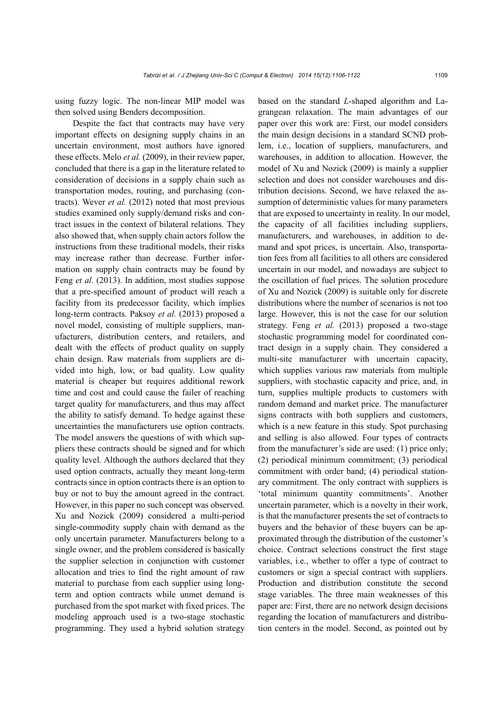using fuzzy logic. The non-linear MIP model was then solved using Benders decomposition.

Despite the fact that contracts may have very important effects on designing supply chains in an uncertain environment, most authors have ignored these effects. Melo *et al.* (2009), in their review paper, concluded that there is a gap in the literature related to consideration of decisions in a supply chain such as transportation modes, routing, and purchasing (contracts). Wever *et al.* (2012) noted that most previous studies examined only supply/demand risks and contract issues in the context of bilateral relations. They also showed that, when supply chain actors follow the instructions from these traditional models, their risks may increase rather than decrease. Further information on supply chain contracts may be found by Feng *et al.* (2013). In addition, most studies suppose that a pre-specified amount of product will reach a facility from its predecessor facility, which implies long-term contracts. Paksoy *et al.* (2013) proposed a novel model, consisting of multiple suppliers, manufacturers, distribution centers, and retailers, and dealt with the effects of product quality on supply chain design. Raw materials from suppliers are divided into high, low, or bad quality. Low quality material is cheaper but requires additional rework time and cost and could cause the failer of reaching target quality for manufacturers, and thus may affect the ability to satisfy demand. To hedge against these uncertainties the manufacturers use option contracts. The model answers the questions of with which suppliers these contracts should be signed and for which quality level. Although the authors declared that they used option contracts, actually they meant long-term contracts since in option contracts there is an option to buy or not to buy the amount agreed in the contract. However, in this paper no such concept was observed. Xu and Nozick (2009) considered a multi-period single-commodity supply chain with demand as the only uncertain parameter. Manufacturers belong to a single owner, and the problem considered is basically the supplier selection in conjunction with customer allocation and tries to find the right amount of raw material to purchase from each supplier using longterm and option contracts while unmet demand is purchased from the spot market with fixed prices. The modeling approach used is a two-stage stochastic programming. They used a hybrid solution strategy based on the standard *L*-shaped algorithm and Lagrangean relaxation. The main advantages of our paper over this work are: First, our model considers the main design decisions in a standard SCND problem, i.e., location of suppliers, manufacturers, and warehouses, in addition to allocation. However, the model of Xu and Nozick (2009) is mainly a supplier selection and does not consider warehouses and distribution decisions. Second, we have relaxed the assumption of deterministic values for many parameters that are exposed to uncertainty in reality. In our model, the capacity of all facilities including suppliers, manufacturers, and warehouses, in addition to demand and spot prices, is uncertain. Also, transportation fees from all facilities to all others are considered uncertain in our model, and nowadays are subject to the oscillation of fuel prices. The solution procedure of Xu and Nozick (2009) is suitable only for discrete distributions where the number of scenarios is not too large. However, this is not the case for our solution strategy. Feng *et al.* (2013) proposed a two-stage stochastic programming model for coordinated contract design in a supply chain. They considered a multi-site manufacturer with uncertain capacity, which supplies various raw materials from multiple suppliers, with stochastic capacity and price, and, in turn, supplies multiple products to customers with random demand and market price. The manufacturer signs contracts with both suppliers and customers, which is a new feature in this study. Spot purchasing and selling is also allowed. Four types of contracts from the manufacturer's side are used: (1) price only; (2) periodical minimum commitment; (3) periodical commitment with order band; (4) periodical stationary commitment. The only contract with suppliers is 'total minimum quantity commitments'. Another uncertain parameter, which is a novelty in their work, is that the manufacturer presents the set of contracts to buyers and the behavior of these buyers can be approximated through the distribution of the customer's choice. Contract selections construct the first stage variables, i.e., whether to offer a type of contract to customers or sign a special contract with suppliers. Production and distribution constitute the second stage variables. The three main weaknesses of this paper are: First, there are no network design decisions regarding the location of manufacturers and distribution centers in the model. Second, as pointed out by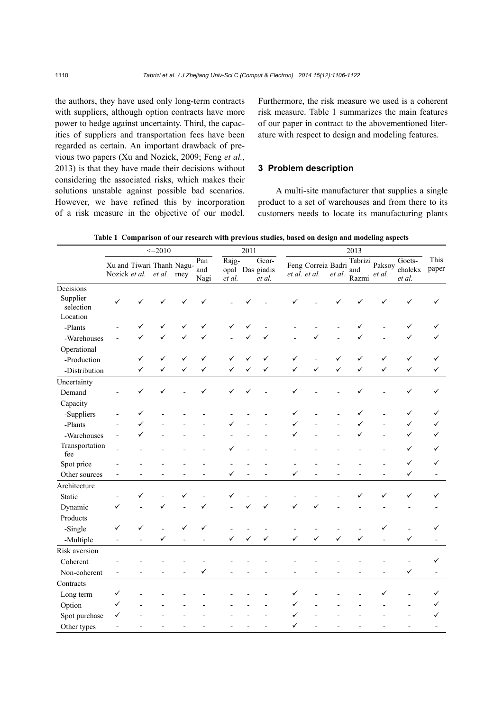the authors, they have used only long-term contracts with suppliers, although option contracts have more power to hedge against uncertainty. Third, the capacities of suppliers and transportation fees have been regarded as certain. An important drawback of previous two papers (Xu and Nozick, 2009; Feng *et al.*, 2013) is that they have made their decisions without considering the associated risks, which makes their solutions unstable against possible bad scenarios. However, we have refined this by incorporation of a risk measure in the objective of our model. Furthermore, the risk measure we used is a coherent risk measure. Table 1 summarizes the main features of our paper in contract to the abovementioned literature with respect to design and modeling features.

# **3 Problem description**

A multi-site manufacturer that supplies a single product to a set of warehouses and from there to its customers needs to locate its manufacturing plants

| Table 1 Comparison of our research with previous studies, based on design and modeling aspects |  |  |  |  |  |
|------------------------------------------------------------------------------------------------|--|--|--|--|--|
|                                                                                                |  |  |  |  |  |

|                       | $\leq 2010$                                            |                |                | 2011         |                    |                 | 2013         |                                    |   |                                     |              |              |                                              |                             |                          |
|-----------------------|--------------------------------------------------------|----------------|----------------|--------------|--------------------|-----------------|--------------|------------------------------------|---|-------------------------------------|--------------|--------------|----------------------------------------------|-----------------------------|--------------------------|
|                       | Xu and Tiwari Thanh Nagu-<br>Nozick et al. et al. rney |                |                |              | Pan<br>and<br>Nagi | Rajg-<br>et al. |              | Geor-<br>opal Das giadis<br>et al. |   | Feng Correia Badri<br>et al. et al. | et al.       | and<br>Razmi | $\overline{\text{Tabrizi}}$ Paksoy<br>et al. | Goets-<br>chalckx<br>et al. | This<br>paper            |
| Decisions             |                                                        |                |                |              |                    |                 |              |                                    |   |                                     |              |              |                                              |                             |                          |
| Supplier<br>selection |                                                        |                |                |              |                    |                 |              |                                    |   |                                     |              |              |                                              |                             |                          |
| Location              |                                                        |                |                |              |                    |                 |              |                                    |   |                                     |              |              |                                              |                             |                          |
| -Plants               |                                                        |                |                |              |                    |                 |              |                                    |   |                                     |              |              |                                              |                             |                          |
| -Warehouses           |                                                        | ✓              |                |              |                    |                 |              |                                    |   |                                     |              |              |                                              |                             |                          |
| Operational           |                                                        |                |                |              |                    |                 |              |                                    |   |                                     |              |              |                                              |                             |                          |
| -Production           |                                                        | ✓              | ✓              | ✓            | ✓                  |                 |              | ✓                                  |   |                                     |              | ✓            | ✓                                            | ✓                           | ✓                        |
| -Distribution         |                                                        | ✓              | $\checkmark$   | $\checkmark$ | ✓                  | ✓               |              | ✓                                  | ✓ | ✓                                   | $\checkmark$ | $\checkmark$ | $\checkmark$                                 | $\checkmark$                | ✓                        |
| Uncertainty           |                                                        |                |                |              |                    |                 |              |                                    |   |                                     |              |              |                                              |                             |                          |
| Demand                |                                                        | ✓              | ✓              |              | ✓                  | ✓               |              |                                    | ✓ |                                     |              | ✓            |                                              | ✓                           | ✓                        |
| Capacity              |                                                        |                |                |              |                    |                 |              |                                    |   |                                     |              |              |                                              |                             |                          |
| -Suppliers            |                                                        | ✓              |                |              |                    |                 |              |                                    |   |                                     |              |              |                                              | ✓                           | ✓                        |
| -Plants               |                                                        | ✓              |                |              |                    |                 |              |                                    |   |                                     |              |              |                                              | ✓                           | ✓                        |
| -Warehouses           |                                                        | ✓              |                |              |                    |                 |              |                                    |   |                                     |              |              |                                              | ✓                           | ✓                        |
| Transportation<br>fee |                                                        |                |                |              |                    |                 |              |                                    |   |                                     |              |              |                                              | ✓                           | ✓                        |
| Spot price            |                                                        |                |                |              |                    |                 |              |                                    |   |                                     |              |              |                                              | ✓                           | ✓                        |
| Other sources         | $\overline{\phantom{m}}$                               | $\overline{a}$ | $\overline{a}$ |              |                    | ✓               |              |                                    | ✓ | $\overline{a}$                      |              |              | $\overline{a}$                               | ✓                           | $\overline{\phantom{a}}$ |
| Architecture          |                                                        |                |                |              |                    |                 |              |                                    |   |                                     |              |              |                                              |                             |                          |
| Static                |                                                        | ✓              |                |              |                    |                 |              |                                    |   |                                     |              |              |                                              |                             | ✓                        |
| Dynamic               | ✓                                                      |                |                |              | ✓                  |                 |              | $\checkmark$                       |   | ✓                                   |              |              |                                              |                             |                          |
| Products              |                                                        |                |                |              |                    |                 |              |                                    |   |                                     |              |              |                                              |                             |                          |
| -Single               | ✓                                                      | ✓              |                | ✓            | ✓                  |                 |              |                                    |   |                                     |              |              | ✓                                            |                             | ✓                        |
| -Multiple             |                                                        | $\overline{a}$ | ✓              |              | $\overline{a}$     | $\checkmark$    | $\checkmark$ | $\checkmark$                       | ✓ | ✓                                   | $\checkmark$ | $\checkmark$ |                                              | ✓                           |                          |
| Risk aversion         |                                                        |                |                |              |                    |                 |              |                                    |   |                                     |              |              |                                              |                             |                          |
| Coherent              |                                                        |                |                |              |                    |                 |              |                                    |   |                                     |              |              |                                              |                             | ✓                        |
| Non-coherent          |                                                        |                |                |              | ✓                  |                 |              |                                    |   |                                     |              |              |                                              | ✓                           |                          |
| Contracts             |                                                        |                |                |              |                    |                 |              |                                    |   |                                     |              |              |                                              |                             |                          |
| Long term             | ✓                                                      |                |                |              |                    |                 |              |                                    | ✓ |                                     |              |              |                                              |                             |                          |
| Option                | ✓                                                      |                |                |              |                    |                 |              |                                    |   |                                     |              |              |                                              |                             |                          |
| Spot purchase         | ✓                                                      |                |                |              |                    |                 |              |                                    | ✓ |                                     |              |              |                                              |                             |                          |
| Other types           | $\overline{\phantom{a}}$                               |                |                |              |                    |                 |              |                                    | ✓ |                                     |              |              |                                              |                             |                          |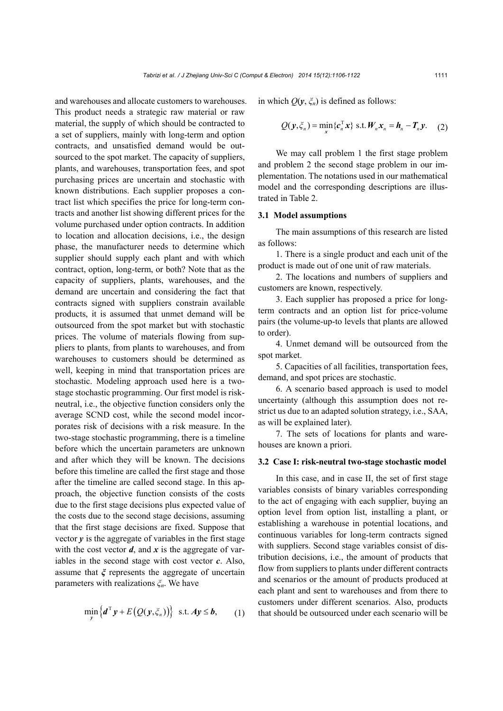and warehouses and allocate customers to warehouses. This product needs a strategic raw material or raw material, the supply of which should be contracted to a set of suppliers, mainly with long-term and option contracts, and unsatisfied demand would be outsourced to the spot market. The capacity of suppliers, plants, and warehouses, transportation fees, and spot purchasing prices are uncertain and stochastic with known distributions. Each supplier proposes a contract list which specifies the price for long-term contracts and another list showing different prices for the volume purchased under option contracts. In addition to location and allocation decisions, i.e., the design phase, the manufacturer needs to determine which supplier should supply each plant and with which contract, option, long-term, or both? Note that as the capacity of suppliers, plants, warehouses, and the demand are uncertain and considering the fact that contracts signed with suppliers constrain available products, it is assumed that unmet demand will be outsourced from the spot market but with stochastic prices. The volume of materials flowing from suppliers to plants, from plants to warehouses, and from warehouses to customers should be determined as well, keeping in mind that transportation prices are stochastic. Modeling approach used here is a twostage stochastic programming. Our first model is riskneutral, i.e., the objective function considers only the average SCND cost, while the second model incorporates risk of decisions with a risk measure. In the two-stage stochastic programming, there is a timeline before which the uncertain parameters are unknown and after which they will be known. The decisions before this timeline are called the first stage and those after the timeline are called second stage. In this approach, the objective function consists of the costs due to the first stage decisions plus expected value of the costs due to the second stage decisions, assuming that the first stage decisions are fixed. Suppose that vector  $y$  is the aggregate of variables in the first stage with the cost vector  $d$ , and  $x$  is the aggregate of variables in the second stage with cost vector *c*. Also, assume that *ξ* represents the aggregate of uncertain parameters with realizations *ξn*. We have

$$
\min_{y} \left\{ \boldsymbol{d}^{\mathrm{T}} \boldsymbol{y} + E\big(Q(\boldsymbol{y}, \xi_n)\big) \right\} \text{ s.t. } \boldsymbol{A} \boldsymbol{y} \leq \boldsymbol{b}, \qquad (1)
$$

in which  $Q(\mathbf{y}, \xi_n)$  is defined as follows:

$$
Q(\mathbf{y}, \xi_n) = \min_{\mathbf{x}} \{ \mathbf{c}_n^{\mathrm{T}} \mathbf{x} \} \text{ s.t. } \mathbf{W}_n \mathbf{x}_n = \mathbf{h}_n - \mathbf{T}_n \mathbf{y}. \tag{2}
$$

We may call problem 1 the first stage problem and problem 2 the second stage problem in our implementation. The notations used in our mathematical model and the corresponding descriptions are illustrated in Table 2.

# **3.1 Model assumptions**

The main assumptions of this research are listed as follows:

1. There is a single product and each unit of the product is made out of one unit of raw materials.

2. The locations and numbers of suppliers and customers are known, respectively.

3. Each supplier has proposed a price for longterm contracts and an option list for price-volume pairs (the volume-up-to levels that plants are allowed to order).

4. Unmet demand will be outsourced from the spot market.

5. Capacities of all facilities, transportation fees, demand, and spot prices are stochastic.

6. A scenario based approach is used to model uncertainty (although this assumption does not restrict us due to an adapted solution strategy, i.e., SAA, as will be explained later).

7. The sets of locations for plants and warehouses are known a priori.

#### **3.2 Case I: risk-neutral two-stage stochastic model**

In this case, and in case II, the set of first stage variables consists of binary variables corresponding to the act of engaging with each supplier, buying an option level from option list, installing a plant, or establishing a warehouse in potential locations, and continuous variables for long-term contracts signed with suppliers. Second stage variables consist of distribution decisions, i.e., the amount of products that flow from suppliers to plants under different contracts and scenarios or the amount of products produced at each plant and sent to warehouses and from there to customers under different scenarios. Also, products that should be outsourced under each scenario will be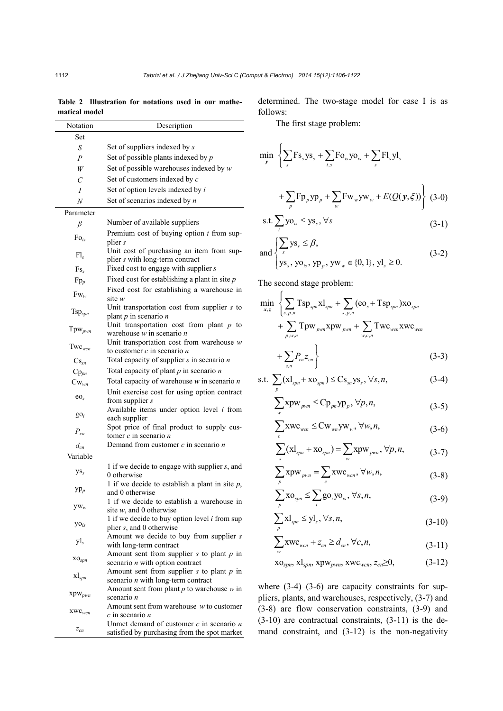**Table 2 Illustration for notations used in our mathematical model** 

| Notation                 | Description                                                                             |
|--------------------------|-----------------------------------------------------------------------------------------|
| Set                      |                                                                                         |
| S                        | Set of suppliers indexed by $s$                                                         |
| $\boldsymbol{P}$         | Set of possible plants indexed by $p$                                                   |
| W                        | Set of possible warehouses indexed by $w$                                               |
|                          | Set of customers indexed by c                                                           |
| C                        |                                                                                         |
| Ι                        | Set of option levels indexed by $i$                                                     |
| N                        | Set of scenarios indexed by $n$                                                         |
| Parameter                |                                                                                         |
| β                        | Number of available suppliers                                                           |
| $\mathrm{Fo}_{is}$       | Premium cost of buying option $i$ from sup-<br>plier s                                  |
| $FI_s$                   | Unit cost of purchasing an item from sup-<br>plier s with long-term contract            |
| Fs <sub>s</sub>          | Fixed cost to engage with supplier s                                                    |
| $Fp_p$                   | Fixed cost for establishing a plant in site $p$                                         |
| $Fw_w$                   | Fixed cost for establishing a warehouse in<br>site $w$                                  |
| $Tsp_{spn}$              | Unit transportation cost from supplier $s$ to<br>plant $p$ in scenario $n$              |
| $Tpw_{pwn}$              | Unit transportation cost from plant $p$ to<br>warehouse $w$ in scenario $n$             |
| $Twc_{wcn}$              | Unit transportation cost from warehouse $w$<br>to customer $c$ in scenario $n$          |
| $Cs_{sn}$                | Total capacity of supplier $s$ in scenario $n$                                          |
| $Cp_{pn}$                | Total capacity of plant $p$ in scenario $n$                                             |
| $\text{Cw}_{wn}$         | Total capacity of warehouse $w$ in scenario $n$                                         |
| eo <sub>s</sub>          | Unit exercise cost for using option contract<br>from supplier s                         |
| $go_i$                   | Available items under option level $i$ from<br>each supplier                            |
| $P_{cn}$                 | Spot price of final product to supply cus-<br>tomer $c$ in scenario $n$                 |
| $d_{cn}$                 | Demand from customer $c$ in scenario $n$                                                |
| Variable                 |                                                                                         |
|                          | 1 if we decide to engage with supplier $s$ , and                                        |
| $\mathbf{y}\mathbf{s}_s$ | 0 otherwise                                                                             |
| $\mathsf{yp}_p$          | 1 if we decide to establish a plant in site $p$ ,                                       |
|                          | and 0 otherwise                                                                         |
| yw <sub>w</sub>          | 1 if we decide to establish a warehouse in<br>site $w$ , and 0 otherwise                |
| yo <sub>is</sub>         | 1 if we decide to buy option level $i$ from sup<br>plier s, and 0 otherwise             |
| $y_{s}$                  | Amount we decide to buy from supplier s<br>with long-term contract                      |
| $XO_{spn}$               | Amount sent from supplier $s$ to plant $p$ in<br>scenario <i>n</i> with option contract |
| $x_{spn}$                | Amount sent from supplier $s$ to plant $p$ in                                           |
|                          | scenario $n$ with long-term contract                                                    |
| $X\text{pw}_{pwn}$       | Amount sent from plant $p$ to warehouse $w$ in                                          |
|                          | scenario n                                                                              |
| XWC <sub>wcn</sub>       | Amount sent from warehouse $w$ to customer<br>$c$ in scenario $n$                       |
|                          | Unmet demand of customer $c$ in scenario $n$                                            |
| $z_{cn}$                 | satisfied by purchasing from the spot market                                            |

determined. The two-stage model for case I is as follows:

The first stage problem:

$$
\min_{y} \left\{ \sum_{s} \text{Fs}_{s} \text{ys}_{s} + \sum_{i,s} \text{Fo}_{is} \text{yo}_{is} + \sum_{s} \text{Fl}_{s} \text{yl}_{s} + \sum_{p} \text{Fp}_{p} \text{yp}_{p} + \sum_{w} \text{FW}_{w} \text{yw}_{w} + E(Q(\textbf{y}, \xi)) \right\} (3-0)
$$
  
s.t  $\sum_{y} \text{yo}_{s} \le \text{ys } \forall s$ 

$$
\text{s.t.} \sum_{i} \text{yo}_{is} \leq \text{ys}_{s}, \forall s \tag{3-1}
$$

and 
$$
\begin{cases} \sum_{s} \text{ys}_{s} \leq \beta, \\ \text{ys}_{s}, \text{yo}_{is}, \text{yp}_{p}, \text{yw}_{w} \in \{0, 1\}, \text{yl}_{s} \geq 0. \end{cases}
$$
 (3-2)

The second stage problem:

$$
\min_{x,z} \left\{ \sum_{s,p,n} \text{Tsp}_{spn} \mathbf{xl}_{spn} + \sum_{s,p,n} (\mathbf{e} \mathbf{o}_s + \text{Tsp}_{spn}) \mathbf{x} \mathbf{o}_{spn} + \sum_{p,w,n} \text{Tpw}_{pwn} \mathbf{x} \mathbf{pw}_{pwn} + \sum_{w,c,n} \text{Twc}_{wcn} \mathbf{x} \mathbf{wc}_{wcn} + \sum_{c,n} P_{cn} z_{cn} \right\}
$$
\n(3-3)

$$
\text{s.t. } \sum_{p} \left( \mathbf{x} \mathbf{1}_{\text{spn}} + \mathbf{x} \mathbf{o}_{\text{spn}} \right) \leq \mathbf{C} \mathbf{s}_{\text{sn}} \mathbf{y} \mathbf{s}_{\text{s}}, \forall s, n,
$$
 (3-4)

$$
\sum_{w} xpw_{pwn} \le Cp_{pn}yp_p, \forall p, n,
$$
\n(3-5)

$$
\sum_{c} \text{xwc}_{\text{wen}} \leq \text{Cw}_{\text{wn}} \text{yw}_{\text{w}}, \forall w, n,
$$
\n(3-6)

$$
\sum_{s} (\mathbf{x} \mathbf{1}_{spn} + \mathbf{x} \mathbf{o}_{spn}) = \sum_{w} \mathbf{x} \mathbf{p} \mathbf{w}_{p \mathbf{w} n}, \forall p, n,
$$
 (3-7)

$$
\sum_{p} \text{xpw}_{pwn} = \sum_{c} \text{xwc}_{wcn}, \forall w, n,
$$
\n(3-8)

$$
\sum_{p} \text{xo}_{\text{spn}} \le \sum_{i} \text{go}_{i} \text{yo}_{is}, \forall s, n,
$$
\n(3-9)

$$
\sum_{p} \mathrm{x} \mathrm{l}_{spn} \le \mathrm{yl}_{s}, \, \forall s, n,
$$
\n(3-10)

$$
\sum_{w} xwc_{wen} + z_{cn} \ge d_{cn}, \forall c, n,
$$
\n(3-11)

$$
xospn, xlspn, xpwpwn, xwcwcn, zcn \ge 0,
$$
 (3-12)

where  $(3-4)$ – $(3-6)$  are capacity constraints for suppliers, plants, and warehouses, respectively, (3-7) and (3-8) are flow conservation constraints, (3-9) and (3-10) are contractual constraints, (3-11) is the demand constraint, and (3-12) is the non-negativity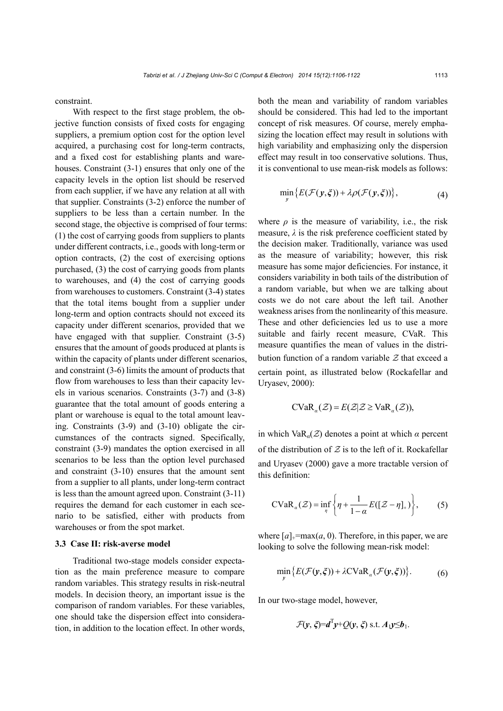constraint.

With respect to the first stage problem, the objective function consists of fixed costs for engaging suppliers, a premium option cost for the option level acquired, a purchasing cost for long-term contracts, and a fixed cost for establishing plants and warehouses. Constraint (3-1) ensures that only one of the capacity levels in the option list should be reserved from each supplier, if we have any relation at all with that supplier. Constraints (3-2) enforce the number of suppliers to be less than a certain number. In the second stage, the objective is comprised of four terms: (1) the cost of carrying goods from suppliers to plants under different contracts, i.e., goods with long-term or option contracts, (2) the cost of exercising options purchased, (3) the cost of carrying goods from plants to warehouses, and (4) the cost of carrying goods from warehouses to customers. Constraint (3-4) states that the total items bought from a supplier under long-term and option contracts should not exceed its capacity under different scenarios, provided that we have engaged with that supplier. Constraint (3-5) ensures that the amount of goods produced at plants is within the capacity of plants under different scenarios, and constraint (3-6) limits the amount of products that flow from warehouses to less than their capacity levels in various scenarios. Constraints (3-7) and (3-8) guarantee that the total amount of goods entering a plant or warehouse is equal to the total amount leaving. Constraints (3-9) and (3-10) obligate the circumstances of the contracts signed. Specifically, constraint (3-9) mandates the option exercised in all scenarios to be less than the option level purchased and constraint (3-10) ensures that the amount sent from a supplier to all plants, under long-term contract is less than the amount agreed upon. Constraint (3-11) requires the demand for each customer in each scenario to be satisfied, either with products from warehouses or from the spot market.

#### **3.3 Case II: risk-averse model**

Traditional two-stage models consider expectation as the main preference measure to compare random variables. This strategy results in risk-neutral models. In decision theory, an important issue is the comparison of random variables. For these variables, one should take the dispersion effect into consideration, in addition to the location effect. In other words, both the mean and variability of random variables should be considered. This had led to the important concept of risk measures. Of course, merely emphasizing the location effect may result in solutions with high variability and emphasizing only the dispersion effect may result in too conservative solutions. Thus, it is conventional to use mean-risk models as follows:

$$
\min_{y} \{ E(\mathcal{F}(y,\xi)) + \lambda \rho(\mathcal{F}(y,\xi)) \},\tag{4}
$$

where  $\rho$  is the measure of variability, i.e., the risk measure,  $\lambda$  is the risk preference coefficient stated by the decision maker. Traditionally, variance was used as the measure of variability; however, this risk measure has some major deficiencies. For instance, it considers variability in both tails of the distribution of a random variable, but when we are talking about costs we do not care about the left tail. Another weakness arises from the nonlinearity of this measure. These and other deficiencies led us to use a more suitable and fairly recent measure, CVaR. This measure quantifies the mean of values in the distribution function of a random variable  $\mathcal Z$  that exceed a certain point, as illustrated below (Rockafellar and Uryasev, 2000):

$$
CVaR_{\alpha}(\mathcal{Z}) = E(\mathcal{Z}|\mathcal{Z} \ge VaR_{\alpha}(\mathcal{Z})),
$$

in which Va $R_{\alpha}(Z)$  denotes a point at which  $\alpha$  percent of the distribution of  $Z$  is to the left of it. Rockafellar and Uryasev (2000) gave a more tractable version of this definition:

$$
\text{CVaR}_{\alpha}(\mathcal{Z}) = \inf_{\eta} \left\{ \eta + \frac{1}{1 - \alpha} E([\mathcal{Z} - \eta]_{+}) \right\},\tag{5}
$$

where  $[a]_+$ =max $(a, 0)$ . Therefore, in this paper, we are looking to solve the following mean-risk model:

$$
\min_{y} \{ E(\mathcal{F}(y,\xi)) + \lambda \text{CVaR}_{\alpha}(\mathcal{F}(y,\xi)) \}.
$$
 (6)

In our two-stage model, however,

$$
\mathcal{F}(y,\,\xi)=d^{\mathrm{T}}y+Q(y,\,\xi)\,\,\text{s.t.}\,\,A_1y\leq b_1.
$$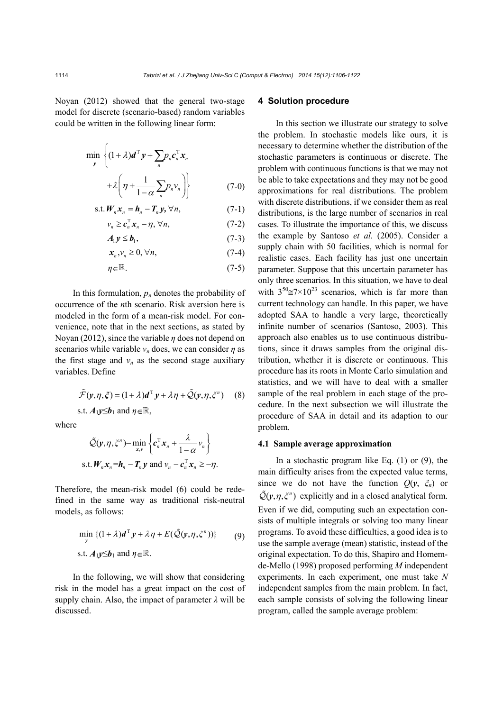Noyan (2012) showed that the general two-stage model for discrete (scenario-based) random variables could be written in the following linear form:

$$
\min_{y} \left\{ (1+\lambda) \mathbf{d}^{T} \mathbf{y} + \sum_{n} p_{n} \mathbf{c}_{n}^{T} \mathbf{x}_{n} + \lambda \left( \eta + \frac{1}{1-\alpha} \sum_{n} p_{n} v_{n} \right) \right\}
$$
(7-0)

$$
\text{s.t.} \, \boldsymbol{W}_n \boldsymbol{x}_n = \boldsymbol{h}_n - \boldsymbol{T}_n \boldsymbol{y}, \, \forall n,\tag{7-1}
$$

$$
v_n \geq c_n^{\mathrm{T}} x_n - \eta, \,\forall n,\tag{7-2}
$$

$$
A_1 y \leq b_1, \tag{7-3}
$$

$$
x_n, v_n \ge 0, \forall n,
$$
\n<sup>(7-4)</sup>

$$
\eta \in \mathbb{R}.\tag{7-5}
$$

In this formulation,  $p_n$  denotes the probability of occurrence of the *n*th scenario. Risk aversion here is modeled in the form of a mean-risk model. For convenience, note that in the next sections, as stated by Noyan (2012), since the variable *η* does not depend on scenarios while variable  $v_n$  does, we can consider  $\eta$  as the first stage and  $v_n$  as the second stage auxiliary variables. Define

$$
\tilde{\mathcal{F}}(\mathbf{y}, \eta, \xi) = (1 + \lambda) \mathbf{d}^{\mathrm{T}} \mathbf{y} + \lambda \eta + \tilde{\mathcal{Q}}(\mathbf{y}, \eta, \xi^{n}) \quad (8)
$$
  
s.t.  $A_1 \mathbf{y} \le \mathbf{b}_1$  and  $\eta \in \mathbb{R}$ ,

where

$$
\tilde{\mathcal{Q}}(\mathbf{y}, \eta, \zeta^n) = \min_{\mathbf{x}, \mathbf{v}} \left\{ \mathbf{c}_n^{\mathrm{T}} \mathbf{x}_n + \frac{\lambda}{1 - \alpha} \mathbf{v}_n \right\}
$$
  
s.t.  $\mathbf{W}_n \mathbf{x}_n = \mathbf{h}_n - \mathbf{T}_n \mathbf{y}$  and  $\mathbf{v}_n - \mathbf{c}_n^{\mathrm{T}} \mathbf{x}_n \ge -\eta$ .

Therefore, the mean-risk model (6) could be redefined in the same way as traditional risk-neutral models, as follows:

$$
\min_{y} \left\{ (1 + \lambda) \mathbf{d}^{T} \mathbf{y} + \lambda \eta + E(\tilde{\mathcal{Q}}(\mathbf{y}, \eta, \xi^{n})) \right\} \qquad (9)
$$
  
s.t.  $A_1 \mathbf{y} \leq \mathbf{b}_1$  and  $\eta \in \mathbb{R}$ .

In the following, we will show that considering risk in the model has a great impact on the cost of supply chain. Also, the impact of parameter *λ* will be discussed.

## **4 Solution procedure**

In this section we illustrate our strategy to solve the problem. In stochastic models like ours, it is necessary to determine whether the distribution of the stochastic parameters is continuous or discrete. The problem with continuous functions is that we may not be able to take expectations and they may not be good approximations for real distributions. The problem with discrete distributions, if we consider them as real distributions, is the large number of scenarios in real cases. To illustrate the importance of this, we discuss the example by Santoso *et al.* (2005). Consider a supply chain with 50 facilities, which is normal for realistic cases. Each facility has just one uncertain parameter. Suppose that this uncertain parameter has only three scenarios. In this situation, we have to deal with  $3^{50} \approx 7 \times 10^{23}$  scenarios, which is far more than current technology can handle. In this paper, we have adopted SAA to handle a very large, theoretically infinite number of scenarios (Santoso, 2003). This approach also enables us to use continuous distributions, since it draws samples from the original distribution, whether it is discrete or continuous. This procedure has its roots in Monte Carlo simulation and statistics, and we will have to deal with a smaller sample of the real problem in each stage of the procedure. In the next subsection we will illustrate the procedure of SAA in detail and its adaption to our problem.

#### **4.1 Sample average approximation**

In a stochastic program like Eq.  $(1)$  or  $(9)$ , the main difficulty arises from the expected value terms, since we do not have the function  $Q(\mathbf{y}, \xi_n)$  or  $\mathcal{Q}(\nu, n, \zeta^n)$  explicitly and in a closed analytical form. Even if we did, computing such an expectation consists of multiple integrals or solving too many linear programs. To avoid these difficulties, a good idea is to use the sample average (mean) statistic, instead of the original expectation. To do this, Shapiro and Homemde-Mello (1998) proposed performing *M* independent experiments. In each experiment, one must take *N* independent samples from the main problem. In fact, each sample consists of solving the following linear program, called the sample average problem: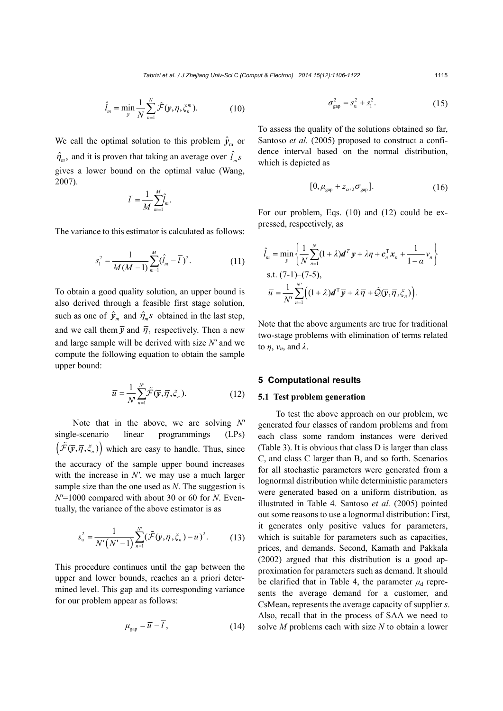$$
\hat{l}_m = \min_{\mathbf{y}} \frac{1}{N} \sum_{n=1}^N \tilde{\mathcal{F}}(\mathbf{y}, \eta, \xi_n^m). \tag{10}
$$

We call the optimal solution to this problem  $\hat{y}_m$  or  $\hat{\eta}_m$ , and it is proven that taking an average over  $\hat{l}_m s$ gives a lower bound on the optimal value (Wang, 2007).

$$
\overline{l} = \frac{1}{M} \sum_{m=1}^{M} \hat{l}_m.
$$

The variance to this estimator is calculated as follows:

$$
s_1^2 = \frac{1}{M(M-1)} \sum_{m=1}^{M} (\hat{l}_m - \overline{l})^2.
$$
 (11)

To obtain a good quality solution, an upper bound is also derived through a feasible first stage solution, such as one of  $\hat{y}_m$  and  $\hat{\eta}_m s$  obtained in the last step, and we call them  $\bar{y}$  and  $\bar{\eta}$ , respectively. Then a new and large sample will be derived with size *N'* and we compute the following equation to obtain the sample upper bound:

$$
\overline{u} = \frac{1}{N} \sum_{n=1}^{N'} \tilde{\mathcal{F}}(\overline{y}, \overline{\eta}, \xi_n). \tag{12}
$$

Note that in the above, we are solving *N'* single-scenario linear programmings (LPs)  $(\tilde{\mathcal{F}}(\bar{y}, \bar{\eta}, \xi_n))$  which are easy to handle. Thus, since the accuracy of the sample upper bound increases with the increase in *N'*, we may use a much larger sample size than the one used as *N*. The suggestion is *N'*=1000 compared with about 30 or 60 for *N*. Eventually, the variance of the above estimator is as

$$
s_{\mathrm{u}}^{2} = \frac{1}{N'(N'-1)} \sum_{n=1}^{N'} (\tilde{\mathcal{F}}(\bar{\mathbf{y}}, \bar{\boldsymbol{\eta}}, \boldsymbol{\xi}_{n}) - \bar{\boldsymbol{u}})^{2}.
$$
 (13)

This procedure continues until the gap between the upper and lower bounds, reaches an a priori determined level. This gap and its corresponding variance for our problem appear as follows:

$$
\mu_{\rm gap} = \overline{u} - \overline{l},\tag{14}
$$

$$
\sigma_{\rm gap}^2 = s_{\rm u}^2 + s_{\rm l}^2. \tag{15}
$$

To assess the quality of the solutions obtained so far, Santoso *et al.* (2005) proposed to construct a confidence interval based on the normal distribution, which is depicted as

$$
[0, \mu_{\rm gap} + z_{\alpha/2} \sigma_{\rm gap}]. \tag{16}
$$

For our problem, Eqs. (10) and (12) could be expressed, respectively, as

$$
\hat{l}_m = \min_{\mathbf{y}} \left\{ \frac{1}{N} \sum_{n=1}^N (1 + \lambda) \mathbf{d}^T \mathbf{y} + \lambda \eta + \mathbf{c}_n^T \mathbf{x}_n + \frac{1}{1 - \alpha} v_n \right\}
$$
\ns.t. (7-1)–(7-5),  
\n
$$
\overline{u} = \frac{1}{N'} \sum_{n=1}^{N'} \left( (1 + \lambda) \mathbf{d}^T \overline{\mathbf{y}} + \lambda \overline{\eta} + \tilde{\mathcal{Q}}(\overline{\mathbf{y}}, \overline{\eta}, \xi_n) \right).
$$

Note that the above arguments are true for traditional two-stage problems with elimination of terms related to  $\eta$ ,  $v_n$ , and  $\lambda$ .

## **5 Computational results**

#### **5.1 Test problem generation**

To test the above approach on our problem, we generated four classes of random problems and from each class some random instances were derived (Table 3). It is obvious that class D is larger than class C, and class C larger than B, and so forth. Scenarios for all stochastic parameters were generated from a lognormal distribution while deterministic parameters were generated based on a uniform distribution, as illustrated in Table 4. Santoso *et al.* (2005) pointed out some reasons to use a lognormal distribution: First, it generates only positive values for parameters, which is suitable for parameters such as capacities, prices, and demands. Second, Kamath and Pakkala (2002) argued that this distribution is a good approximation for parameters such as demand. It should be clarified that in Table 4, the parameter  $\mu_d$  represents the average demand for a customer, and CsMean*s* represents the average capacity of supplier *s*. Also, recall that in the process of SAA we need to solve *M* problems each with size *N* to obtain a lower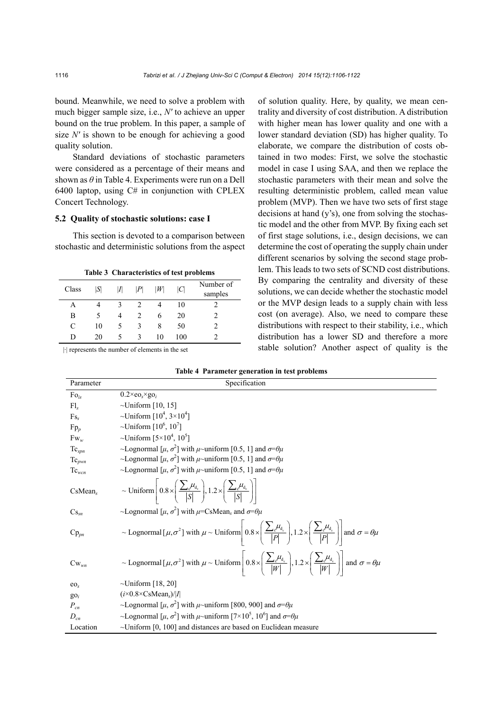bound. Meanwhile, we need to solve a problem with much bigger sample size, i.e., *N'* to achieve an upper bound on the true problem. In this paper, a sample of size *N'* is shown to be enough for achieving a good quality solution.

Standard deviations of stochastic parameters were considered as a percentage of their means and shown as *θ* in Table 4. Experiments were run on a Dell 6400 laptop, using  $C#$  in conjunction with CPLEX Concert Technology.

# **5.2 Quality of stochastic solutions: case I**

This section is devoted to a comparison between stochastic and deterministic solutions from the aspect

**Table 3 Characteristics of test problems** 

| Class | S  |    | $\left\vert P\right\vert$ | W  | ICI | Number of<br>samples |
|-------|----|----|---------------------------|----|-----|----------------------|
| А     |    |    |                           |    | 10  |                      |
| В     |    |    |                           | 6  | 20  |                      |
| C     | 10 | C. | 3                         | 8  | 50  |                      |
| D     | 20 |    | 3                         | 10 | 100 |                      |

|·| represents the number of elements in the set

of solution quality. Here, by quality, we mean centrality and diversity of cost distribution. A distribution with higher mean has lower quality and one with a lower standard deviation (SD) has higher quality. To elaborate, we compare the distribution of costs obtained in two modes: First, we solve the stochastic model in case I using SAA, and then we replace the stochastic parameters with their mean and solve the resulting deterministic problem, called mean value problem (MVP). Then we have two sets of first stage decisions at hand (y's), one from solving the stochastic model and the other from MVP. By fixing each set of first stage solutions, i.e., design decisions, we can determine the cost of operating the supply chain under different scenarios by solving the second stage problem. This leads to two sets of SCND cost distributions. By comparing the centrality and diversity of these solutions, we can decide whether the stochastic model or the MVP design leads to a supply chain with less cost (on average). Also, we need to compare these distributions with respect to their stability, i.e., which distribution has a lower SD and therefore a more stable solution? Another aspect of quality is the

**Table 4 Parameter generation in test problems** 

| Parameter           | Specification                                                                                                                                                                                                              |
|---------------------|----------------------------------------------------------------------------------------------------------------------------------------------------------------------------------------------------------------------------|
| $\mathrm{Fo}_{is}$  | $0.2 \times \text{eo}_s \times \text{go}_i$                                                                                                                                                                                |
| $FI_s$              | $\sim$ Uniform [10, 15]                                                                                                                                                                                                    |
| Fs <sub>s</sub>     | ~Uniform $[10^4, 3 \times 10^4]$                                                                                                                                                                                           |
| $Fp_p$              | ~Uniform $[10^6, 10^7]$                                                                                                                                                                                                    |
| $\mathrm{Fw}_{w}$   | ~Uniform $[5 \times 10^4, 10^5]$                                                                                                                                                                                           |
| $Tc_{spn}$          | ~Lognormal [ $\mu$ , $\sigma^2$ ] with $\mu$ ~uniform [0.5, 1] and $\sigma=\theta\mu$                                                                                                                                      |
| $Tc_{pwn}$          | ~Lognormal [ $\mu$ , $\sigma^2$ ] with $\mu$ ~uniform [0.5, 1] and $\sigma=\theta\mu$                                                                                                                                      |
| $T_{c_{wcn}}$       | ~Lognormal [ $\mu$ , $\sigma^2$ ] with $\mu$ ~uniform [0.5, 1] and $\sigma=\theta\mu$                                                                                                                                      |
| CsMean <sub>s</sub> | $\sim \text{Uniform}\left(0.8 \times \left(\frac{\sum_{c} \mu_{d_c}}{ S }\right), 1.2 \times \left(\frac{\sum_{c} \mu_{d_c}}{ S }\right)\right)$                                                                           |
| $\mathrm{Cs}_{sn}$  | ~Lognormal [ $\mu$ , $\sigma^2$ ] with $\mu$ =CsMean <sub>s</sub> and $\sigma = \theta\mu$                                                                                                                                 |
| $Cp_{pn}$           | $\sim$ Lognormal $[\mu, \sigma^2]$ with $\mu \sim$ Uniform $\left(0.8 \times \left(\frac{\sum_{c} \mu_{d_c}}{ P }\right), 1.2 \times \left(\frac{\sum_{c} \mu_{d_c}}{ P }\right)\right)$ and $\sigma = \theta \mu$         |
| $\mathrm{Cw}_{wn}$  | $\sim$ Lognormal $[\mu, \sigma^2]$ with $\mu \sim$ Uniform $\left  0.8 \times \left( \frac{\sum_{c'} \mu_{d_c}}{ W } \right), 1.2 \times \left( \frac{\sum_{c'} \mu_{d_c}}{ W } \right) \right $ and $\sigma = \theta \mu$ |
| eo <sub>s</sub>     | $\sim$ Uniform [18, 20]                                                                                                                                                                                                    |
| $g_{0i}$            | $(i \times 0.8 \times \text{CsMean}_s)/ I $                                                                                                                                                                                |
| $P_{cn}$            | ~Lognormal [ $\mu$ , $\sigma^2$ ] with $\mu$ ~uniform [800, 900] and $\sigma=\theta\mu$                                                                                                                                    |
| $D_{cn}$            | ~Lognormal $[\mu, \sigma^2]$ with $\mu$ ~uniform $[7 \times 10^5, 10^6]$ and $\sigma = \theta \mu$                                                                                                                         |
| Location            | $\sim$ Uniform [0, 100] and distances are based on Euclidean measure                                                                                                                                                       |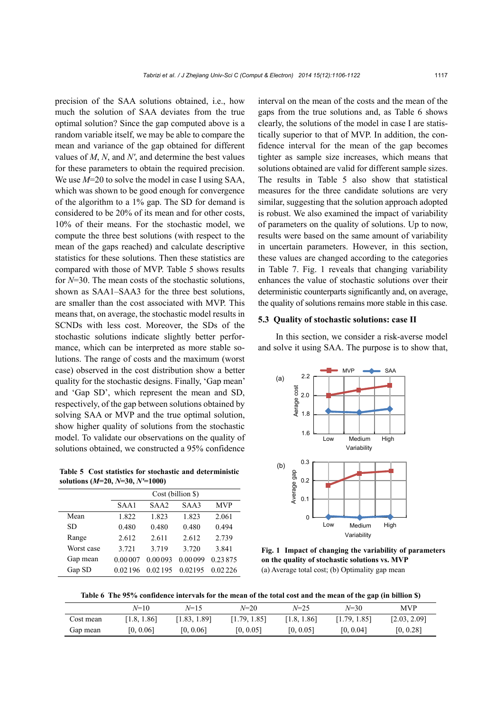precision of the SAA solutions obtained, i.e., how much the solution of SAA deviates from the true optimal solution? Since the gap computed above is a random variable itself, we may be able to compare the mean and variance of the gap obtained for different values of *M*, *N*, and *N'*, and determine the best values for these parameters to obtain the required precision. We use  $M=20$  to solve the model in case I using SAA, which was shown to be good enough for convergence of the algorithm to a 1% gap. The SD for demand is considered to be 20% of its mean and for other costs, 10% of their means. For the stochastic model, we compute the three best solutions (with respect to the mean of the gaps reached) and calculate descriptive statistics for these solutions. Then these statistics are compared with those of MVP. Table 5 shows results for *N*=30. The mean costs of the stochastic solutions, shown as SAA1–SAA3 for the three best solutions, are smaller than the cost associated with MVP. This means that, on average, the stochastic model results in SCNDs with less cost. Moreover, the SDs of the stochastic solutions indicate slightly better performance, which can be interpreted as more stable solutions. The range of costs and the maximum (worst case) observed in the cost distribution show a better quality for the stochastic designs. Finally, 'Gap mean' and 'Gap SD', which represent the mean and SD, respectively, of the gap between solutions obtained by solving SAA or MVP and the true optimal solution, show higher quality of solutions from the stochastic model. To validate our observations on the quality of solutions obtained, we constructed a 95% confidence

(b) **Table 5 Cost statistics for stochastic and deterministic solutions (***M***=20,** *N***=30,** *N'***=1000)** 

|            |          | Cost (billion \$) |         |            |  |  |  |  |
|------------|----------|-------------------|---------|------------|--|--|--|--|
|            | SAA1     | SAA2              | SAA3    | <b>MVP</b> |  |  |  |  |
| Mean       | 1.822    | 1.823             | 1.823   | 2.061      |  |  |  |  |
| SD         | 0.480    | 0.480             | 0.480   | 0.494      |  |  |  |  |
| Range      | 2.612    | 2.611             | 2.612   | 2.739      |  |  |  |  |
| Worst case | 3.721    | 3 7 1 9           | 3.720   | 3.841      |  |  |  |  |
| Gap mean   | 0.00007  | 0.00093           | 0.00099 | 0.23875    |  |  |  |  |
| Gap SD     | 0.02.196 | 0.02195           | 0.02195 | 0.02.226   |  |  |  |  |

interval on the mean of the costs and the mean of the gaps from the true solutions and, as Table 6 shows clearly, the solutions of the model in case I are statistically superior to that of MVP. In addition, the confidence interval for the mean of the gap becomes tighter as sample size increases, which means that solutions obtained are valid for different sample sizes. The results in Table 5 also show that statistical measures for the three candidate solutions are very similar, suggesting that the solution approach adopted is robust. We also examined the impact of variability of parameters on the quality of solutions. Up to now, results were based on the same amount of variability in uncertain parameters. However, in this section, these values are changed according to the categories in Table 7. Fig. 1 reveals that changing variability enhances the value of stochastic solutions over their deterministic counterparts significantly and, on average, the quality of solutions remains more stable in this case.

## **5.3 Quality of stochastic solutions: case II**

In this section, we consider a risk-averse model and solve it using SAA. The purpose is to show that,



**Fig. 1 Impact of changing the variability of parameters on the quality of stochastic solutions vs. MVP**  (a) Average total cost; (b) Optimality gap mean

**Table 6 The 95% confidence intervals for the mean of the total cost and the mean of the gap (in billion \$)** 

|           | $N = 10$    | N=15         | $N = 20$     | $N = 25$    | $N = 30$     | MVP          |
|-----------|-------------|--------------|--------------|-------------|--------------|--------------|
| Cost mean | [1.8, 1.86] | [1.83, 1.89] | [1.79, 1.85] | [1.8, 1.86] | [1.79, 1.85] | [2.03, 2.09] |
| Gap mean  | [0, 0.06]   | [0, 0.06]    | [0, 0.05]    | [0, 0.05]   | [0, 0.04]    | [0, 0.28]    |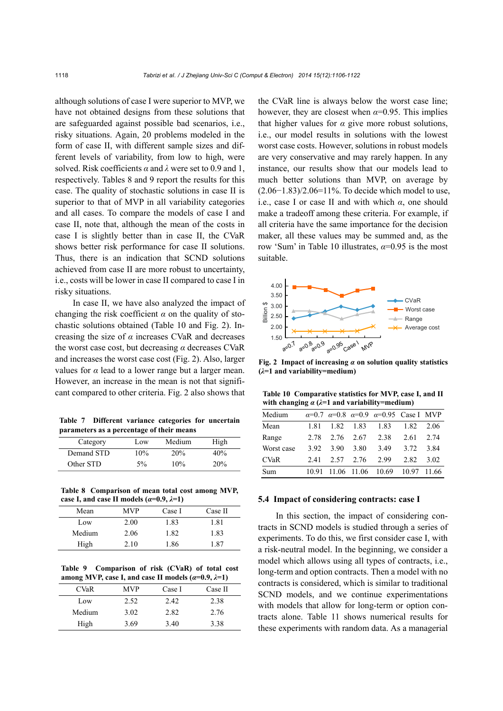although solutions of case I were superior to MVP, we have not obtained designs from these solutions that are safeguarded against possible bad scenarios, i.e., risky situations. Again, 20 problems modeled in the form of case II, with different sample sizes and different levels of variability, from low to high, were solved. Risk coefficients  $\alpha$  and  $\lambda$  were set to 0.9 and 1, respectively. Tables 8 and 9 report the results for this case. The quality of stochastic solutions in case II is superior to that of MVP in all variability categories and all cases. To compare the models of case I and case II, note that, although the mean of the costs in case I is slightly better than in case II, the CVaR shows better risk performance for case II solutions. Thus, there is an indication that SCND solutions achieved from case II are more robust to uncertainty, i.e., costs will be lower in case II compared to case I in risky situations.

In case II, we have also analyzed the impact of changing the risk coefficient  $\alpha$  on the quality of stochastic solutions obtained (Table 10 and Fig. 2). Increasing the size of *α* increases CVaR and decreases the worst case cost, but decreasing *α* decreases CVaR and increases the worst case cost (Fig. 2). Also, larger values for  $\alpha$  lead to a lower range but a larger mean. However, an increase in the mean is not that significant compared to other criteria. Fig. 2 also shows that

**Table 7 Different variance categories for uncertain parameters as a percentage of their means** 

| Category   | Low | Medium | High |
|------------|-----|--------|------|
| Demand STD | 10% | 20%    | 40%  |
| Other STD  | 5%  | 10%    | 20%  |

**Table 8 Comparison of mean total cost among MVP,**  case I, and case II models  $(a=0.9, \lambda=1)$ 

| Mean   | <b>MVP</b> | Case I | Case II |
|--------|------------|--------|---------|
| Low    | 2.00       | 1.83   | 1.81    |
| Medium | 2.06       | 1.82   | 1.83    |
| High   | 2.10       | 1.86   | 1.87    |

**Table 9 Comparison of risk (CVaR) of total cost among MVP, case I, and case II models**  $(a=0.9, \lambda=1)$ 

| <b>CVaR</b> | <b>MVP</b> | Case I | Case II |  |
|-------------|------------|--------|---------|--|
| Low         | 2.52       | 2.42   | 2.38    |  |
| Medium      | 3.02       | 2.82   | 2.76    |  |
| High        | 3.69       | 3.40   | 3.38    |  |

the CVaR line is always below the worst case line; however, they are closest when  $\alpha$ =0.95. This implies that higher values for  $\alpha$  give more robust solutions, i.e., our model results in solutions with the lowest worst case costs. However, solutions in robust models are very conservative and may rarely happen. In any instance, our results show that our models lead to much better solutions than MVP, on average by (2.06−1.83)/2.06=11%. To decide which model to use, i.e., case I or case II and with which *α*, one should make a tradeoff among these criteria. For example, if all criteria have the same importance for the decision maker, all these values may be summed and, as the row 'Sum' in Table 10 illustrates, *α*=0.95 is the most suitable.



**Fig. 2 Impact of increasing** *α* **on solution quality statistics (***λ***=1 and variability=medium)** 

**Table 10 Comparative statistics for MVP, case I, and II with changing** *α* **(***λ***=1 and variability=medium)** 

| Medium      |       |      |                | $\alpha=0.7$ $\alpha=0.8$ $\alpha=0.9$ $\alpha=0.95$ Case I MVP |       |       |
|-------------|-------|------|----------------|-----------------------------------------------------------------|-------|-------|
| Mean        | 181   |      | 1.82 1.83 1.83 |                                                                 | 1.82  | 2.06  |
| Range       | 2.78  | 2.76 | 2.67           | 2.38                                                            | 2.61  | 2.74  |
| Worst case  | 3.92  | 3.90 | 3.80           | 3.49                                                            | 3.72  | 3.84  |
| <b>CVaR</b> | 2.41  |      | 2.57 2.76 2.99 |                                                                 | 2.82  | 3.02  |
| Sum         | 10 91 |      |                | 11.06 11.06 10.69                                               | 10.97 | 11.66 |

#### **5.4 Impact of considering contracts: case I**

In this section, the impact of considering contracts in SCND models is studied through a series of experiments. To do this, we first consider case I, with a risk-neutral model. In the beginning, we consider a model which allows using all types of contracts, i.e., long-term and option contracts. Then a model with no contracts is considered, which is similar to traditional SCND models, and we continue experimentations with models that allow for long-term or option contracts alone. Table 11 shows numerical results for **E** 2.00<br> **E** 2.00<br> **E** 2.00<br> **E** 2.00<br> **E** 2.00<br> **E** 2.00<br> **E** 2.00<br> **E** 2.00<br> **E** 2.00<br> **E**  $e^{0.3}$ <br> **E**  $e^{0.3}$ <br> **E**  $e^{0.3}$ <br> **E**  $e^{0.3}$ <br> **E**  $e^{0.3}$ <br> **E**  $e^{0.3}$ <br> **E**  $e^{0.3}$ <br> **E**  $e^{0.3}$ <br> **E**  $e^{0.3}$ <br> **E**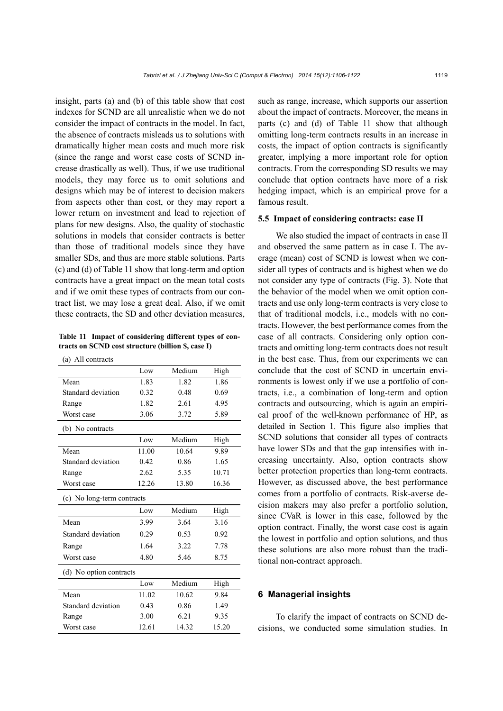insight, parts (a) and (b) of this table show that cost indexes for SCND are all unrealistic when we do not consider the impact of contracts in the model. In fact, the absence of contracts misleads us to solutions with dramatically higher mean costs and much more risk (since the range and worst case costs of SCND increase drastically as well). Thus, if we use traditional models, they may force us to omit solutions and designs which may be of interest to decision makers from aspects other than cost, or they may report a lower return on investment and lead to rejection of plans for new designs. Also, the quality of stochastic solutions in models that consider contracts is better than those of traditional models since they have smaller SDs, and thus are more stable solutions. Parts (c) and (d) of Table 11 show that long-term and option contracts have a great impact on the mean total costs and if we omit these types of contracts from our contract list, we may lose a great deal. Also, if we omit these contracts, the SD and other deviation measures,

**Table 11 Impact of considering different types of contracts on SCND cost structure (billion \$, case I)** 

(a) All contracts Low Medium High Mean 1.83 1.82 1.86 Standard deviation 0.32 0.48 0.69 Range 1.82 2.61 4.95 Worst case 3.06 3.72 5.89 (b) No contracts Low Medium High Mean 11.00 10.64 9.89 Standard deviation 0.42 0.86 1.65 Range 2.62 5.35 10.71 Worst case 12.26 13.80 16.36 (c) No long-term contracts Low Medium High Mean 3.99 3.64 3.16 Standard deviation 0.29 0.53 0.92 Range 1.64 3.22 7.78 Worst case  $4.80$   $5.46$   $8.75$ (d) No option contracts Low Medium High Mean 11.02 10.62 9.84 Standard deviation 0.43 0.86 1.49 Range 3.00 6.21 9.35 Worst case 12.61 14.32 15.20 such as range, increase, which supports our assertion about the impact of contracts. Moreover, the means in parts (c) and (d) of Table 11 show that although omitting long-term contracts results in an increase in costs, the impact of option contracts is significantly greater, implying a more important role for option contracts. From the corresponding SD results we may conclude that option contracts have more of a risk hedging impact, which is an empirical prove for a famous result.

#### **5.5 Impact of considering contracts: case II**

We also studied the impact of contracts in case II and observed the same pattern as in case I. The average (mean) cost of SCND is lowest when we consider all types of contracts and is highest when we do not consider any type of contracts (Fig. 3). Note that the behavior of the model when we omit option contracts and use only long-term contracts is very close to that of traditional models, i.e., models with no contracts. However, the best performance comes from the case of all contracts. Considering only option contracts and omitting long-term contracts does not result in the best case. Thus, from our experiments we can conclude that the cost of SCND in uncertain environments is lowest only if we use a portfolio of contracts, i.e., a combination of long-term and option contracts and outsourcing, which is again an empirical proof of the well-known performance of HP, as detailed in Section 1. This figure also implies that SCND solutions that consider all types of contracts have lower SDs and that the gap intensifies with increasing uncertainty. Also, option contracts show better protection properties than long-term contracts. However, as discussed above, the best performance comes from a portfolio of contracts. Risk-averse decision makers may also prefer a portfolio solution, since CVaR is lower in this case, followed by the option contract. Finally, the worst case cost is again the lowest in portfolio and option solutions, and thus these solutions are also more robust than the traditional non-contract approach.

# **6 Managerial insights**

To clarify the impact of contracts on SCND decisions, we conducted some simulation studies. In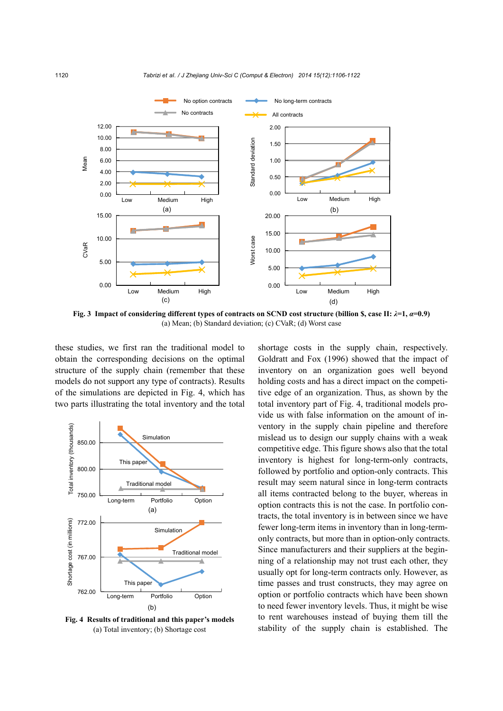

**Fig. 3 Impact of considering different types of contracts on SCND cost structure (billion \$, case II:** *λ***=1,** *α***=0.9)**  (a) Mean; (b) Standard deviation; (c) CVaR; (d) Worst case

these studies, we first ran the traditional model to obtain the corresponding decisions on the optimal structure of the supply chain (remember that these models do not support any type of contracts). Results of the simulations are depicted in Fig. 4, which has two parts illustrating the total inventory and the total



**Fig. 4 Results of traditional and this paper's models**  (a) Total inventory; (b) Shortage cost

shortage costs in the supply chain, respectively. Goldratt and Fox (1996) showed that the impact of inventory on an organization goes well beyond holding costs and has a direct impact on the competitive edge of an organization. Thus, as shown by the total inventory part of Fig. 4, traditional models provide us with false information on the amount of inventory in the supply chain pipeline and therefore mislead us to design our supply chains with a weak competitive edge. This figure shows also that the total inventory is highest for long-term-only contracts, followed by portfolio and option-only contracts. This result may seem natural since in long-term contracts all items contracted belong to the buyer, whereas in option contracts this is not the case. In portfolio contracts, the total inventory is in between since we have fewer long-term items in inventory than in long-termonly contracts, but more than in option-only contracts. Since manufacturers and their suppliers at the beginning of a relationship may not trust each other, they usually opt for long-term contracts only. However, as time passes and trust constructs, they may agree on option or portfolio contracts which have been shown to need fewer inventory levels. Thus, it might be wise to rent warehouses instead of buying them till the stability of the supply chain is established. The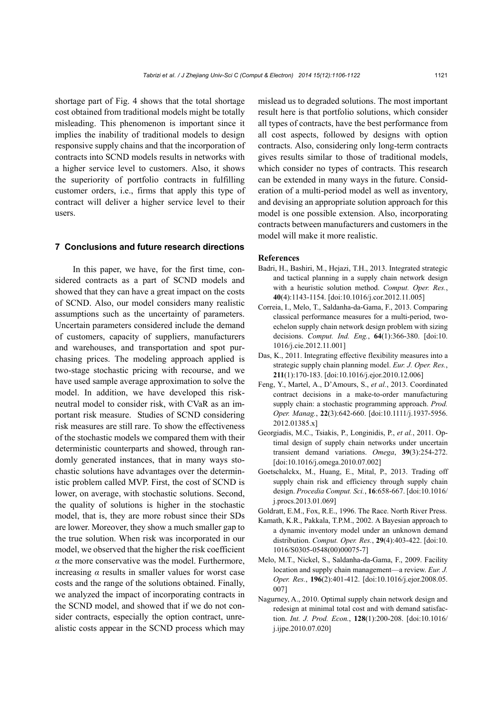shortage part of Fig. 4 shows that the total shortage cost obtained from traditional models might be totally misleading. This phenomenon is important since it implies the inability of traditional models to design responsive supply chains and that the incorporation of contracts into SCND models results in networks with a higher service level to customers. Also, it shows the superiority of portfolio contracts in fulfilling customer orders, i.e., firms that apply this type of contract will deliver a higher service level to their users.

## **7 Conclusions and future research directions**

In this paper, we have, for the first time, considered contracts as a part of SCND models and showed that they can have a great impact on the costs of SCND. Also, our model considers many realistic assumptions such as the uncertainty of parameters. Uncertain parameters considered include the demand of customers, capacity of suppliers, manufacturers and warehouses, and transportation and spot purchasing prices. The modeling approach applied is two-stage stochastic pricing with recourse, and we have used sample average approximation to solve the model. In addition, we have developed this riskneutral model to consider risk, with CVaR as an important risk measure. Studies of SCND considering risk measures are still rare. To show the effectiveness of the stochastic models we compared them with their deterministic counterparts and showed, through randomly generated instances, that in many ways stochastic solutions have advantages over the deterministic problem called MVP. First, the cost of SCND is lower, on average, with stochastic solutions. Second, the quality of solutions is higher in the stochastic model, that is, they are more robust since their SDs are lower. Moreover, they show a much smaller gap to the true solution. When risk was incorporated in our model, we observed that the higher the risk coefficient *α* the more conservative was the model. Furthermore, increasing  $\alpha$  results in smaller values for worst case costs and the range of the solutions obtained. Finally, we analyzed the impact of incorporating contracts in the SCND model, and showed that if we do not consider contracts, especially the option contract, unrealistic costs appear in the SCND process which may mislead us to degraded solutions. The most important result here is that portfolio solutions, which consider all types of contracts, have the best performance from all cost aspects, followed by designs with option contracts. Also, considering only long-term contracts gives results similar to those of traditional models, which consider no types of contracts. This research can be extended in many ways in the future. Consideration of a multi-period model as well as inventory, and devising an appropriate solution approach for this model is one possible extension. Also, incorporating contracts between manufacturers and customers in the model will make it more realistic.

#### **References**

- Badri, H., Bashiri, M., Hejazi, T.H., 2013. Integrated strategic and tactical planning in a supply chain network design with a heuristic solution method. *Comput. Oper. Res.*, **40**(4):1143-1154. [doi:10.1016/j.cor.2012.11.005]
- Correia, I., Melo, T., Saldanha-da-Gama, F., 2013. Comparing classical performance measures for a multi-period, twoechelon supply chain network design problem with sizing decisions. *Comput. Ind. Eng.*, **64**(1):366-380. [doi:10. 1016/j.cie.2012.11.001]
- Das, K., 2011. Integrating effective flexibility measures into a strategic supply chain planning model. *Eur. J. Oper. Res.*, **211**(1):170-183. [doi:10.1016/j.ejor.2010.12.006]
- Feng, Y., Martel, A., D'Amours, S., *et al.*, 2013. Coordinated contract decisions in a make-to-order manufacturing supply chain: a stochastic programming approach. *Prod. Oper. Manag.*, **22**(3):642-660. [doi:10.1111/j.1937-5956. 2012.01385.x]
- Georgiadis, M.C., Tsiakis, P., Longinidis, P., *et al.*, 2011. Optimal design of supply chain networks under uncertain transient demand variations. *Omega*, **39**(3):254-272. [doi:10.1016/j.omega.2010.07.002]
- Goetschalckx, M., Huang, E., Mital, P., 2013. Trading off supply chain risk and efficiency through supply chain design. *Procedia Comput. Sci.*, **16**:658-667. [doi:10.1016/ j.procs.2013.01.069]
- Goldratt, E.M., Fox, R.E., 1996. The Race. North River Press.
- Kamath, K.R., Pakkala, T.P.M., 2002. A Bayesian approach to a dynamic inventory model under an unknown demand distribution. *Comput. Oper. Res.*, **29**(4):403-422. [doi:10. 1016/S0305-0548(00)00075-7]
- Melo, M.T., Nickel, S., Saldanha-da-Gama, F., 2009. Facility location and supply chain management—a review. *Eur. J. Oper. Res.*, **196**(2):401-412. [doi:10.1016/j.ejor.2008.05. 007]
- Nagurney, A., 2010. Optimal supply chain network design and redesign at minimal total cost and with demand satisfaction. *Int. J. Prod. Econ.*, **128**(1):200-208. [doi:10.1016/ j.ijpe.2010.07.020]